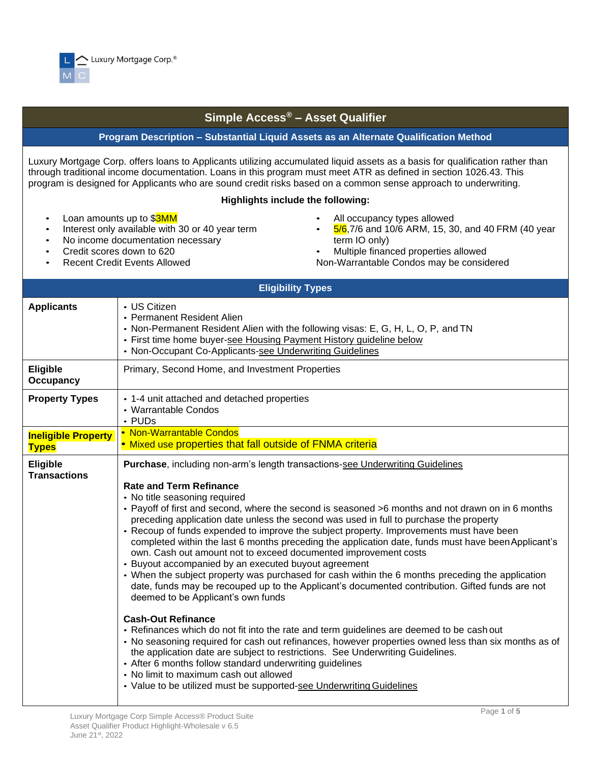

## **Simple Access® – Asset Qualifier**

## **Program Description – Substantial Liquid Assets as an Alternate Qualification Method**

Luxury Mortgage Corp. offers loans to Applicants utilizing accumulated liquid assets as a basis for qualification rather than through traditional income documentation. Loans in this program must meet ATR as defined in section 1026.43. This program is designed for Applicants who are sound credit risks based on a common sense approach to underwriting.

## **Highlights include the following:**

- Loan amounts up to \$3MM
- Interest only available with 30 or 40 year term
- No income documentation necessary
- Credit scores down to 620
- Recent Credit Events Allowed
- All occupancy types allowed
- 5/6,7/6 and 10/6 ARM, 15, 30, and 40 FRM (40 year term IO only)
- Multiple financed properties allowed
- Non-Warrantable Condos may be considered

|                                            | <b>Eligibility Types</b>                                                                                                                                                                                                                                                                                                                                                                                                                                                                                                                                                                                                                                                                                                                                                                                                                                                                                                                                                                                                                                                                                                                                                                                                                                                                                                                                                                                                    |
|--------------------------------------------|-----------------------------------------------------------------------------------------------------------------------------------------------------------------------------------------------------------------------------------------------------------------------------------------------------------------------------------------------------------------------------------------------------------------------------------------------------------------------------------------------------------------------------------------------------------------------------------------------------------------------------------------------------------------------------------------------------------------------------------------------------------------------------------------------------------------------------------------------------------------------------------------------------------------------------------------------------------------------------------------------------------------------------------------------------------------------------------------------------------------------------------------------------------------------------------------------------------------------------------------------------------------------------------------------------------------------------------------------------------------------------------------------------------------------------|
| <b>Applicants</b>                          | • US Citizen<br>• Permanent Resident Alien<br>• Non-Permanent Resident Alien with the following visas: E, G, H, L, O, P, and TN<br>• First time home buyer-see Housing Payment History guideline below<br>• Non-Occupant Co-Applicants-see Underwriting Guidelines                                                                                                                                                                                                                                                                                                                                                                                                                                                                                                                                                                                                                                                                                                                                                                                                                                                                                                                                                                                                                                                                                                                                                          |
| <b>Eligible</b><br><b>Occupancy</b>        | Primary, Second Home, and Investment Properties                                                                                                                                                                                                                                                                                                                                                                                                                                                                                                                                                                                                                                                                                                                                                                                                                                                                                                                                                                                                                                                                                                                                                                                                                                                                                                                                                                             |
| <b>Property Types</b>                      | • 1-4 unit attached and detached properties<br>• Warrantable Condos<br>$\cdot$ PUDs                                                                                                                                                                                                                                                                                                                                                                                                                                                                                                                                                                                                                                                                                                                                                                                                                                                                                                                                                                                                                                                                                                                                                                                                                                                                                                                                         |
| <b>Ineligible Property</b><br><b>Types</b> | • Non-Warrantable Condos<br>• Mixed use properties that fall outside of FNMA criteria                                                                                                                                                                                                                                                                                                                                                                                                                                                                                                                                                                                                                                                                                                                                                                                                                                                                                                                                                                                                                                                                                                                                                                                                                                                                                                                                       |
| Eligible<br><b>Transactions</b>            | Purchase, including non-arm's length transactions-see Underwriting Guidelines<br><b>Rate and Term Refinance</b><br>• No title seasoning required<br>• Payoff of first and second, where the second is seasoned >6 months and not drawn on in 6 months<br>preceding application date unless the second was used in full to purchase the property<br>• Recoup of funds expended to improve the subject property. Improvements must have been<br>completed within the last 6 months preceding the application date, funds must have been Applicant's<br>own. Cash out amount not to exceed documented improvement costs<br>• Buyout accompanied by an executed buyout agreement<br>• When the subject property was purchased for cash within the 6 months preceding the application<br>date, funds may be recouped up to the Applicant's documented contribution. Gifted funds are not<br>deemed to be Applicant's own funds<br><b>Cash-Out Refinance</b><br>• Refinances which do not fit into the rate and term guidelines are deemed to be cash out<br>• No seasoning required for cash out refinances, however properties owned less than six months as of<br>the application date are subject to restrictions. See Underwriting Guidelines.<br>• After 6 months follow standard underwriting guidelines<br>• No limit to maximum cash out allowed<br>• Value to be utilized must be supported-see Underwriting Guidelines |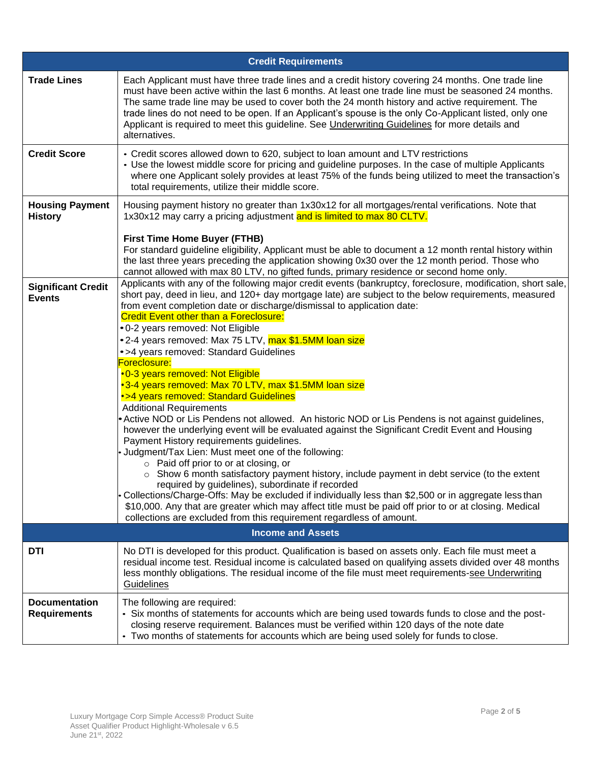|                                             | <b>Credit Requirements</b>                                                                                                                                                                                                                                                                                                                                                                                                                                                                                                                                                                                                                                                                                                                                                                                                                                                                                                                                                                                                                                                                                                                                                                                                                                                                                                                                                                                                                                                                |
|---------------------------------------------|-------------------------------------------------------------------------------------------------------------------------------------------------------------------------------------------------------------------------------------------------------------------------------------------------------------------------------------------------------------------------------------------------------------------------------------------------------------------------------------------------------------------------------------------------------------------------------------------------------------------------------------------------------------------------------------------------------------------------------------------------------------------------------------------------------------------------------------------------------------------------------------------------------------------------------------------------------------------------------------------------------------------------------------------------------------------------------------------------------------------------------------------------------------------------------------------------------------------------------------------------------------------------------------------------------------------------------------------------------------------------------------------------------------------------------------------------------------------------------------------|
| <b>Trade Lines</b>                          | Each Applicant must have three trade lines and a credit history covering 24 months. One trade line<br>must have been active within the last 6 months. At least one trade line must be seasoned 24 months.<br>The same trade line may be used to cover both the 24 month history and active requirement. The<br>trade lines do not need to be open. If an Applicant's spouse is the only Co-Applicant listed, only one<br>Applicant is required to meet this guideline. See <i>Underwriting Guidelines</i> for more details and<br>alternatives.                                                                                                                                                                                                                                                                                                                                                                                                                                                                                                                                                                                                                                                                                                                                                                                                                                                                                                                                           |
| <b>Credit Score</b>                         | • Credit scores allowed down to 620, subject to loan amount and LTV restrictions<br>• Use the lowest middle score for pricing and guideline purposes. In the case of multiple Applicants<br>where one Applicant solely provides at least 75% of the funds being utilized to meet the transaction's<br>total requirements, utilize their middle score.                                                                                                                                                                                                                                                                                                                                                                                                                                                                                                                                                                                                                                                                                                                                                                                                                                                                                                                                                                                                                                                                                                                                     |
| <b>Housing Payment</b><br><b>History</b>    | Housing payment history no greater than 1x30x12 for all mortgages/rental verifications. Note that<br>1x30x12 may carry a pricing adjustment and is limited to max 80 CLTV.<br><b>First Time Home Buyer (FTHB)</b>                                                                                                                                                                                                                                                                                                                                                                                                                                                                                                                                                                                                                                                                                                                                                                                                                                                                                                                                                                                                                                                                                                                                                                                                                                                                         |
|                                             | For standard guideline eligibility, Applicant must be able to document a 12 month rental history within<br>the last three years preceding the application showing 0x30 over the 12 month period. Those who<br>cannot allowed with max 80 LTV, no gifted funds, primary residence or second home only.                                                                                                                                                                                                                                                                                                                                                                                                                                                                                                                                                                                                                                                                                                                                                                                                                                                                                                                                                                                                                                                                                                                                                                                     |
| <b>Significant Credit</b><br><b>Events</b>  | Applicants with any of the following major credit events (bankruptcy, foreclosure, modification, short sale,<br>short pay, deed in lieu, and 120+ day mortgage late) are subject to the below requirements, measured<br>from event completion date or discharge/dismissal to application date:<br><b>Credit Event other than a Foreclosure:</b><br>• 0-2 years removed: Not Eligible<br>•2-4 years removed: Max 75 LTV, max \$1.5MM loan size<br>•>4 years removed: Standard Guidelines<br>Foreclosure:<br>.0-3 years removed: Not Eligible<br>•3-4 years removed: Max 70 LTV, max \$1.5MM loan size<br>•>4 years removed: Standard Guidelines<br><b>Additional Requirements</b><br>• Active NOD or Lis Pendens not allowed. An historic NOD or Lis Pendens is not against guidelines,<br>however the underlying event will be evaluated against the Significant Credit Event and Housing<br>Payment History requirements guidelines.<br>- Judgment/Tax Lien: Must meet one of the following:<br>o Paid off prior to or at closing, or<br>$\circ$ Show 6 month satisfactory payment history, include payment in debt service (to the extent<br>required by guidelines), subordinate if recorded<br>Collections/Charge-Offs: May be excluded if individually less than \$2,500 or in aggregate less than<br>\$10,000. Any that are greater which may affect title must be paid off prior to or at closing. Medical<br>collections are excluded from this requirement regardless of amount. |
|                                             | <b>Income and Assets</b>                                                                                                                                                                                                                                                                                                                                                                                                                                                                                                                                                                                                                                                                                                                                                                                                                                                                                                                                                                                                                                                                                                                                                                                                                                                                                                                                                                                                                                                                  |
| DTI                                         | No DTI is developed for this product. Qualification is based on assets only. Each file must meet a<br>residual income test. Residual income is calculated based on qualifying assets divided over 48 months<br>less monthly obligations. The residual income of the file must meet requirements-see Underwriting<br>Guidelines                                                                                                                                                                                                                                                                                                                                                                                                                                                                                                                                                                                                                                                                                                                                                                                                                                                                                                                                                                                                                                                                                                                                                            |
| <b>Documentation</b><br><b>Requirements</b> | The following are required:<br>- Six months of statements for accounts which are being used towards funds to close and the post-<br>closing reserve requirement. Balances must be verified within 120 days of the note date<br>- Two months of statements for accounts which are being used solely for funds to close.                                                                                                                                                                                                                                                                                                                                                                                                                                                                                                                                                                                                                                                                                                                                                                                                                                                                                                                                                                                                                                                                                                                                                                    |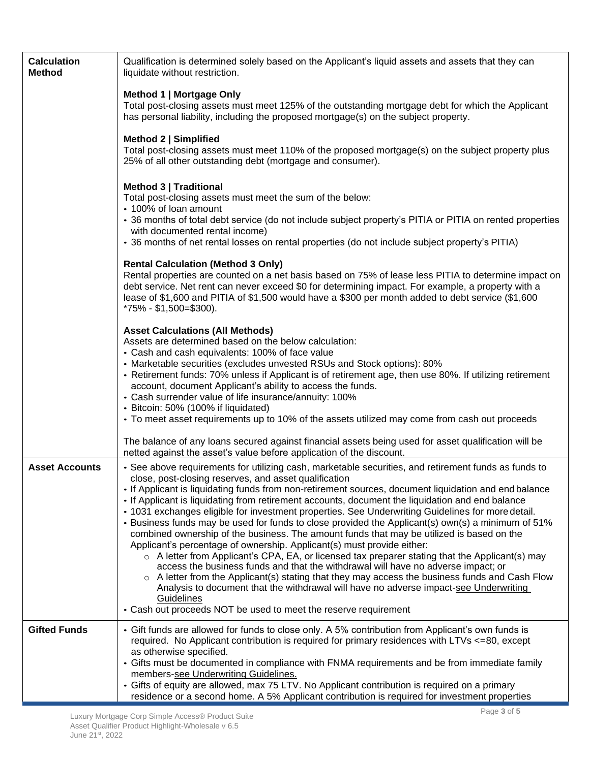| <b>Calculation</b><br><b>Method</b> | Qualification is determined solely based on the Applicant's liquid assets and assets that they can<br>liquidate without restriction.                                                                                                                                                                                                                                                                                                                                                                                                                                                                                                                                                                                                                                                                                                                                                                                                                                                                                                                                                                                                                                                                                                           |
|-------------------------------------|------------------------------------------------------------------------------------------------------------------------------------------------------------------------------------------------------------------------------------------------------------------------------------------------------------------------------------------------------------------------------------------------------------------------------------------------------------------------------------------------------------------------------------------------------------------------------------------------------------------------------------------------------------------------------------------------------------------------------------------------------------------------------------------------------------------------------------------------------------------------------------------------------------------------------------------------------------------------------------------------------------------------------------------------------------------------------------------------------------------------------------------------------------------------------------------------------------------------------------------------|
|                                     | Method 1   Mortgage Only<br>Total post-closing assets must meet 125% of the outstanding mortgage debt for which the Applicant<br>has personal liability, including the proposed mortgage(s) on the subject property.                                                                                                                                                                                                                                                                                                                                                                                                                                                                                                                                                                                                                                                                                                                                                                                                                                                                                                                                                                                                                           |
|                                     | Method 2   Simplified<br>Total post-closing assets must meet 110% of the proposed mortgage(s) on the subject property plus<br>25% of all other outstanding debt (mortgage and consumer).                                                                                                                                                                                                                                                                                                                                                                                                                                                                                                                                                                                                                                                                                                                                                                                                                                                                                                                                                                                                                                                       |
|                                     | Method 3   Traditional<br>Total post-closing assets must meet the sum of the below:<br>• 100% of loan amount<br>• 36 months of total debt service (do not include subject property's PITIA or PITIA on rented properties<br>with documented rental income)                                                                                                                                                                                                                                                                                                                                                                                                                                                                                                                                                                                                                                                                                                                                                                                                                                                                                                                                                                                     |
|                                     | • 36 months of net rental losses on rental properties (do not include subject property's PITIA)                                                                                                                                                                                                                                                                                                                                                                                                                                                                                                                                                                                                                                                                                                                                                                                                                                                                                                                                                                                                                                                                                                                                                |
|                                     | <b>Rental Calculation (Method 3 Only)</b><br>Rental properties are counted on a net basis based on 75% of lease less PITIA to determine impact on<br>debt service. Net rent can never exceed \$0 for determining impact. For example, a property with a<br>lease of \$1,600 and PITIA of \$1,500 would have a \$300 per month added to debt service (\$1,600<br>$*75\% - $1,500 = $300$ .                                                                                                                                                                                                                                                                                                                                                                                                                                                                                                                                                                                                                                                                                                                                                                                                                                                      |
|                                     | <b>Asset Calculations (All Methods)</b><br>Assets are determined based on the below calculation:<br>• Cash and cash equivalents: 100% of face value<br>• Marketable securities (excludes unvested RSUs and Stock options): 80%<br>• Retirement funds: 70% unless if Applicant is of retirement age, then use 80%. If utilizing retirement<br>account, document Applicant's ability to access the funds.<br>• Cash surrender value of life insurance/annuity: 100%<br>• Bitcoin: 50% (100% if liquidated)<br>• To meet asset requirements up to 10% of the assets utilized may come from cash out proceeds                                                                                                                                                                                                                                                                                                                                                                                                                                                                                                                                                                                                                                      |
|                                     | The balance of any loans secured against financial assets being used for asset qualification will be<br>netted against the asset's value before application of the discount.                                                                                                                                                                                                                                                                                                                                                                                                                                                                                                                                                                                                                                                                                                                                                                                                                                                                                                                                                                                                                                                                   |
| <b>Asset Accounts</b>               | • See above requirements for utilizing cash, marketable securities, and retirement funds as funds to<br>close, post-closing reserves, and asset qualification<br>If Applicant is liquidating funds from non-retirement sources, document liquidation and end balance<br>If Applicant is liquidating from retirement accounts, document the liquidation and end balance<br>• 1031 exchanges eligible for investment properties. See Underwriting Guidelines for more detail.<br>. Business funds may be used for funds to close provided the Applicant(s) own(s) a minimum of 51%<br>combined ownership of the business. The amount funds that may be utilized is based on the<br>Applicant's percentage of ownership. Applicant(s) must provide either:<br>$\circ$ A letter from Applicant's CPA, EA, or licensed tax preparer stating that the Applicant(s) may<br>access the business funds and that the withdrawal will have no adverse impact; or<br>$\circ$ A letter from the Applicant(s) stating that they may access the business funds and Cash Flow<br>Analysis to document that the withdrawal will have no adverse impact-see Underwriting<br><b>Guidelines</b><br>• Cash out proceeds NOT be used to meet the reserve requirement |
| <b>Gifted Funds</b>                 | • Gift funds are allowed for funds to close only. A 5% contribution from Applicant's own funds is                                                                                                                                                                                                                                                                                                                                                                                                                                                                                                                                                                                                                                                                                                                                                                                                                                                                                                                                                                                                                                                                                                                                              |
|                                     | required. No Applicant contribution is required for primary residences with LTVs <= 80, except<br>as otherwise specified.<br>• Gifts must be documented in compliance with FNMA requirements and be from immediate family<br>members-see Underwriting Guidelines.<br>• Gifts of equity are allowed, max 75 LTV. No Applicant contribution is required on a primary<br>residence or a second home. A 5% Applicant contribution is required for investment properties                                                                                                                                                                                                                                                                                                                                                                                                                                                                                                                                                                                                                                                                                                                                                                            |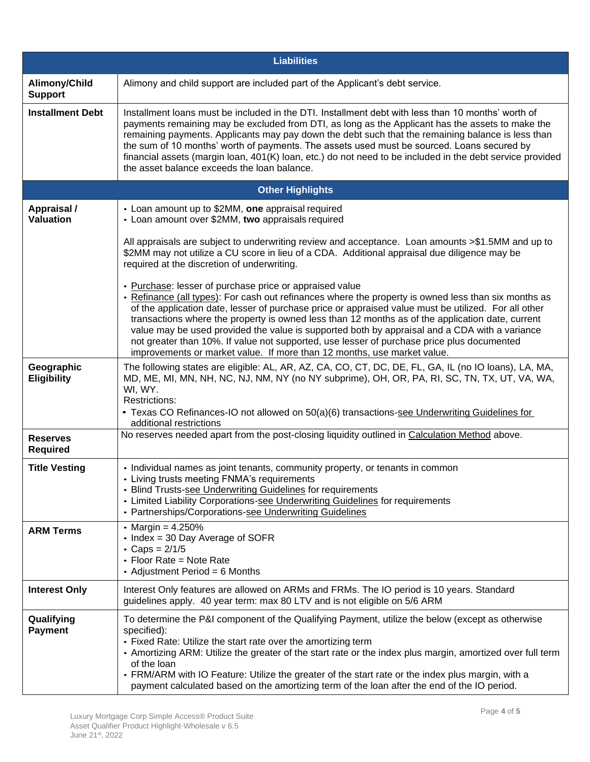|                                        | <b>Liabilities</b>                                                                                                                                                                                                                                                                                                                                                                                                                                                                                                                                                                                                                                    |  |  |  |  |  |  |  |  |  |
|----------------------------------------|-------------------------------------------------------------------------------------------------------------------------------------------------------------------------------------------------------------------------------------------------------------------------------------------------------------------------------------------------------------------------------------------------------------------------------------------------------------------------------------------------------------------------------------------------------------------------------------------------------------------------------------------------------|--|--|--|--|--|--|--|--|--|
| Alimony/Child<br><b>Support</b>        | Alimony and child support are included part of the Applicant's debt service.                                                                                                                                                                                                                                                                                                                                                                                                                                                                                                                                                                          |  |  |  |  |  |  |  |  |  |
| <b>Installment Debt</b>                | Installment loans must be included in the DTI. Installment debt with less than 10 months' worth of<br>payments remaining may be excluded from DTI, as long as the Applicant has the assets to make the<br>remaining payments. Applicants may pay down the debt such that the remaining balance is less than<br>the sum of 10 months' worth of payments. The assets used must be sourced. Loans secured by<br>financial assets (margin loan, 401(K) loan, etc.) do not need to be included in the debt service provided<br>the asset balance exceeds the loan balance.                                                                                 |  |  |  |  |  |  |  |  |  |
|                                        | <b>Other Highlights</b>                                                                                                                                                                                                                                                                                                                                                                                                                                                                                                                                                                                                                               |  |  |  |  |  |  |  |  |  |
| <b>Appraisal /</b><br><b>Valuation</b> | • Loan amount up to \$2MM, one appraisal required<br>• Loan amount over \$2MM, two appraisals required                                                                                                                                                                                                                                                                                                                                                                                                                                                                                                                                                |  |  |  |  |  |  |  |  |  |
|                                        | All appraisals are subject to underwriting review and acceptance. Loan amounts >\$1.5MM and up to<br>\$2MM may not utilize a CU score in lieu of a CDA. Additional appraisal due diligence may be<br>required at the discretion of underwriting.                                                                                                                                                                                                                                                                                                                                                                                                      |  |  |  |  |  |  |  |  |  |
|                                        | • Purchase: lesser of purchase price or appraised value<br>- Refinance (all types): For cash out refinances where the property is owned less than six months as<br>of the application date, lesser of purchase price or appraised value must be utilized. For all other<br>transactions where the property is owned less than 12 months as of the application date, current<br>value may be used provided the value is supported both by appraisal and a CDA with a variance<br>not greater than 10%. If value not supported, use lesser of purchase price plus documented<br>improvements or market value. If more than 12 months, use market value. |  |  |  |  |  |  |  |  |  |
| Geographic<br><b>Eligibility</b>       | The following states are eligible: AL, AR, AZ, CA, CO, CT, DC, DE, FL, GA, IL (no IO loans), LA, MA,<br>MD, ME, MI, MN, NH, NC, NJ, NM, NY (no NY subprime), OH, OR, PA, RI, SC, TN, TX, UT, VA, WA,<br>WI, WY.<br>Restrictions:<br>• Texas CO Refinances-IO not allowed on 50(a)(6) transactions-see Underwriting Guidelines for<br>additional restrictions                                                                                                                                                                                                                                                                                          |  |  |  |  |  |  |  |  |  |
| <b>Reserves</b><br><b>Required</b>     | No reserves needed apart from the post-closing liquidity outlined in Calculation Method above.                                                                                                                                                                                                                                                                                                                                                                                                                                                                                                                                                        |  |  |  |  |  |  |  |  |  |
| <b>Title Vesting</b>                   | • Individual names as joint tenants, community property, or tenants in common<br>• Living trusts meeting FNMA's requirements<br>• Blind Trusts-see Underwriting Guidelines for requirements<br>• Limited Liability Corporations-see Underwriting Guidelines for requirements<br>• Partnerships/Corporations-see Underwriting Guidelines                                                                                                                                                                                                                                                                                                               |  |  |  |  |  |  |  |  |  |
| <b>ARM Terms</b>                       | • Margin = $4.250%$<br>• Index = 30 Day Average of SOFR<br>• Caps = $2/1/5$<br>• Floor Rate = Note Rate<br>• Adjustment Period = 6 Months                                                                                                                                                                                                                                                                                                                                                                                                                                                                                                             |  |  |  |  |  |  |  |  |  |
| <b>Interest Only</b>                   | Interest Only features are allowed on ARMs and FRMs. The IO period is 10 years. Standard<br>guidelines apply. 40 year term: max 80 LTV and is not eligible on 5/6 ARM                                                                                                                                                                                                                                                                                                                                                                                                                                                                                 |  |  |  |  |  |  |  |  |  |
| Qualifying<br><b>Payment</b>           | To determine the P&I component of the Qualifying Payment, utilize the below (except as otherwise<br>specified):<br>• Fixed Rate: Utilize the start rate over the amortizing term<br>• Amortizing ARM: Utilize the greater of the start rate or the index plus margin, amortized over full term<br>of the loan<br>• FRM/ARM with IO Feature: Utilize the greater of the start rate or the index plus margin, with a<br>payment calculated based on the amortizing term of the loan after the end of the IO period.                                                                                                                                     |  |  |  |  |  |  |  |  |  |